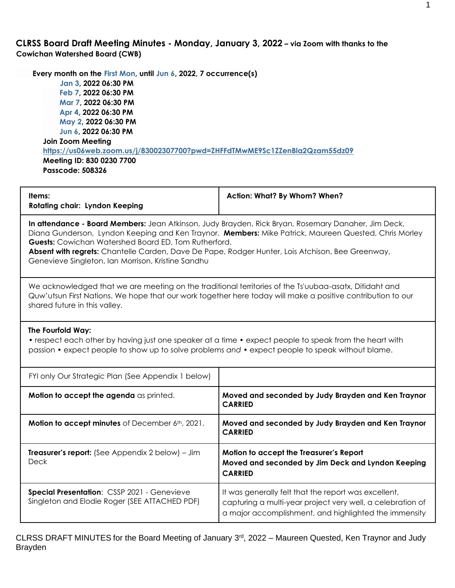**CLRSS Board Draft Meeting Minutes - Monday, January 3, 2022 – via Zoom with thanks to the Cowichan Watershed Board (CWB)**

 **Every month on the First Mon, until Jun 6, 2022, 7 occurrence(s) Jan 3, 2022 06:30 PM Feb 7, 2022 06:30 PM Mar 7, 2022 06:30 PM Apr 4, 2022 06:30 PM May 2, 2022 06:30 PM Jun 6, 2022 06:30 PM Join Zoom Meeting <https://us06web.zoom.us/j/83002307700?pwd=ZHFFdTMwME9Sc1ZZenBla2Qzam55dz09> Meeting ID: 830 0230 7700 Passcode: 508326**

| Items:<br><b>Rotating chair: Lyndon Keeping</b>                                                                                                                                                                                                                                                                                                                                                                                       | Action: What? By Whom? When?                                                                                                                                                |  |  |  |
|---------------------------------------------------------------------------------------------------------------------------------------------------------------------------------------------------------------------------------------------------------------------------------------------------------------------------------------------------------------------------------------------------------------------------------------|-----------------------------------------------------------------------------------------------------------------------------------------------------------------------------|--|--|--|
| In attendance - Board Members: Jean Atkinson, Judy Brayden, Rick Bryan, Rosemary Danaher, Jim Deck,<br>Diana Gunderson, Lyndon Keeping and Ken Traynor. Members: Mike Patrick, Maureen Quested, Chris Morley<br><b>Guests:</b> Cowichan Watershed Board ED, Tom Rutherford.<br>Absent with regrets: Chantelle Carden, Dave De Pape, Rodger Hunter, Lois Atchison, Bee Greenway,<br>Genevieve Singleton, Ian Morrison, Kristine Sandhu |                                                                                                                                                                             |  |  |  |
| We acknowledged that we are meeting on the traditional territories of the Ts'uubaa-asatx, Ditidaht and<br>shared future in this valley.                                                                                                                                                                                                                                                                                               | Quw'utsun First Nations. We hope that our work together here today will make a positive contribution to our                                                                 |  |  |  |
| The Fourfold Way:<br>• respect each other by having just one speaker at a time • expect people to speak from the heart with<br>passion • expect people to show up to solve problems and • expect people to speak without blame.                                                                                                                                                                                                       |                                                                                                                                                                             |  |  |  |
| FYI only Our Strategic Plan (See Appendix 1 below)                                                                                                                                                                                                                                                                                                                                                                                    |                                                                                                                                                                             |  |  |  |
| Motion to accept the agenda as printed.                                                                                                                                                                                                                                                                                                                                                                                               | Moved and seconded by Judy Brayden and Ken Traynor<br><b>CARRIED</b>                                                                                                        |  |  |  |
| Motion to accept minutes of December 6th, 2021.                                                                                                                                                                                                                                                                                                                                                                                       | Moved and seconded by Judy Brayden and Ken Traynor<br><b>CARRIED</b>                                                                                                        |  |  |  |
| <b>Treasurer's report:</b> (See Appendix 2 below) – Jim<br><b>Deck</b>                                                                                                                                                                                                                                                                                                                                                                | Motion to accept the Treasurer's Report<br>Moved and seconded by Jim Deck and Lyndon Keeping<br><b>CARRIED</b>                                                              |  |  |  |
| Special Presentation: CSSP 2021 - Genevieve<br>Singleton and Elodie Roger (SEE ATTACHED PDF)                                                                                                                                                                                                                                                                                                                                          | It was generally felt that the report was excellent,<br>capturing a multi-year project very well, a celebration of<br>a major accomplishment, and highlighted the immensity |  |  |  |

CLRSS DRAFT MINUTES for the Board Meeting of January 3<sup>rd</sup>, 2022 – Maureen Quested, Ken Traynor and Judy Brayden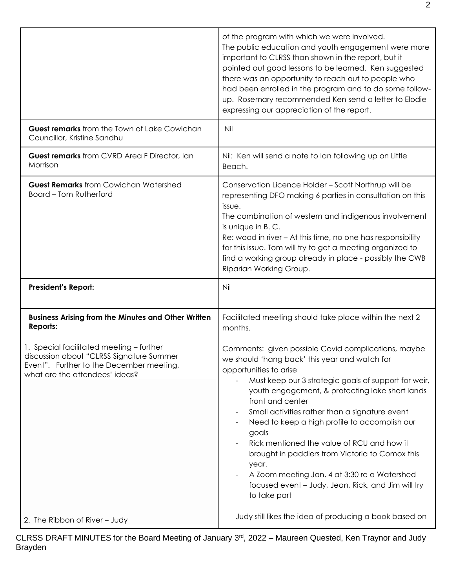|                                                                                                                                                                    | of the program with which we were involved.<br>The public education and youth engagement were more<br>important to CLRSS than shown in the report, but it<br>pointed out good lessons to be learned. Ken suggested<br>there was an opportunity to reach out to people who<br>had been enrolled in the program and to do some follow-<br>up. Rosemary recommended Ken send a letter to Elodie<br>expressing our appreciation of the report.                                                                                                                                                                |
|--------------------------------------------------------------------------------------------------------------------------------------------------------------------|-----------------------------------------------------------------------------------------------------------------------------------------------------------------------------------------------------------------------------------------------------------------------------------------------------------------------------------------------------------------------------------------------------------------------------------------------------------------------------------------------------------------------------------------------------------------------------------------------------------|
| <b>Guest remarks</b> from the Town of Lake Cowichan<br>Councillor, Kristine Sandhu                                                                                 | Nil                                                                                                                                                                                                                                                                                                                                                                                                                                                                                                                                                                                                       |
| Guest remarks from CVRD Area F Director, Ian<br>Morrison                                                                                                           | Nil: Ken will send a note to Ian following up on Little<br>Beach.                                                                                                                                                                                                                                                                                                                                                                                                                                                                                                                                         |
| <b>Guest Remarks</b> from Cowichan Watershed<br><b>Board - Tom Rutherford</b>                                                                                      | Conservation Licence Holder - Scott Northrup will be<br>representing DFO making 6 parties in consultation on this<br>issue.<br>The combination of western and indigenous involvement<br>is unique in B.C.<br>Re: wood in river - At this time, no one has responsibility<br>for this issue. Tom will try to get a meeting organized to<br>find a working group already in place - possibly the CWB                                                                                                                                                                                                        |
|                                                                                                                                                                    | Riparian Working Group.                                                                                                                                                                                                                                                                                                                                                                                                                                                                                                                                                                                   |
| <b>President's Report:</b>                                                                                                                                         | Nil                                                                                                                                                                                                                                                                                                                                                                                                                                                                                                                                                                                                       |
| <b>Business Arising from the Minutes and Other Written</b><br>Reports:                                                                                             | Facilitated meeting should take place within the next 2<br>months.                                                                                                                                                                                                                                                                                                                                                                                                                                                                                                                                        |
| 1. Special facilitated meeting - further<br>discussion about "CLRSS Signature Summer<br>Event". Further to the December meeting,<br>what are the attendees' ideas? | Comments: given possible Covid complications, maybe<br>we should 'hang back' this year and watch for<br>opportunities to arise<br>Must keep our 3 strategic goals of support for weir,<br>youth engagement, & protecting lake short lands<br>front and center<br>Small activities rather than a signature event<br>Need to keep a high profile to accomplish our<br>goals<br>Rick mentioned the value of RCU and how it<br>brought in paddlers from Victoria to Comox this<br>year.<br>A Zoom meeting Jan. 4 at 3:30 re a Watershed<br>focused event - Judy, Jean, Rick, and Jim will try<br>to take part |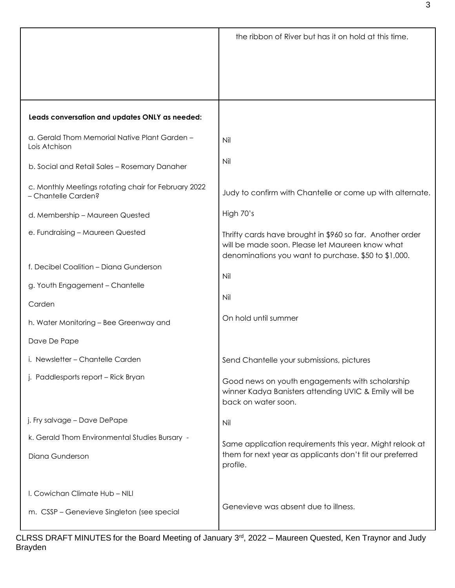|                                                                             | the ribbon of River but has it on hold at this time.                                                                                                                 |
|-----------------------------------------------------------------------------|----------------------------------------------------------------------------------------------------------------------------------------------------------------------|
|                                                                             |                                                                                                                                                                      |
|                                                                             |                                                                                                                                                                      |
|                                                                             |                                                                                                                                                                      |
| Leads conversation and updates ONLY as needed:                              |                                                                                                                                                                      |
| a. Gerald Thom Memorial Native Plant Garden -<br>Lois Atchison              | Nil                                                                                                                                                                  |
| b. Social and Retail Sales - Rosemary Danaher                               | Nil                                                                                                                                                                  |
| c. Monthly Meetings rotating chair for February 2022<br>- Chantelle Carden? | Judy to confirm with Chantelle or come up with alternate.                                                                                                            |
| d. Membership - Maureen Quested                                             | High 70's                                                                                                                                                            |
| e. Fundraising - Maureen Quested                                            | Thrifty cards have brought in \$960 so far. Another order<br>will be made soon. Please let Maureen know what<br>denominations you want to purchase. \$50 to \$1,000. |
| f. Decibel Coalition - Diana Gunderson                                      |                                                                                                                                                                      |
| g. Youth Engagement - Chantelle                                             | Nil                                                                                                                                                                  |
| Carden                                                                      | Nil                                                                                                                                                                  |
| h. Water Monitoring - Bee Greenway and                                      | On hold until summer                                                                                                                                                 |
| Dave De Pape                                                                |                                                                                                                                                                      |
| i. Newsletter - Chantelle Carden                                            | Send Chantelle your submissions, pictures                                                                                                                            |
| j. Paddlesports report - Rick Bryan                                         | Good news on youth engagements with scholarship<br>winner Kadya Banisters attending UVIC & Emily will be<br>back on water soon.                                      |
| j. Fry salvage - Dave DePape                                                | Nil                                                                                                                                                                  |
| k. Gerald Thom Environmental Studies Bursary -                              | Same application requirements this year. Might relook at                                                                                                             |
| Diana Gunderson                                                             | them for next year as applicants don't fit our preferred<br>profile.                                                                                                 |
| I. Cowichan Climate Hub - NILI                                              |                                                                                                                                                                      |
| m. CSSP - Genevieve Singleton (see special                                  | Genevieve was absent due to illness.                                                                                                                                 |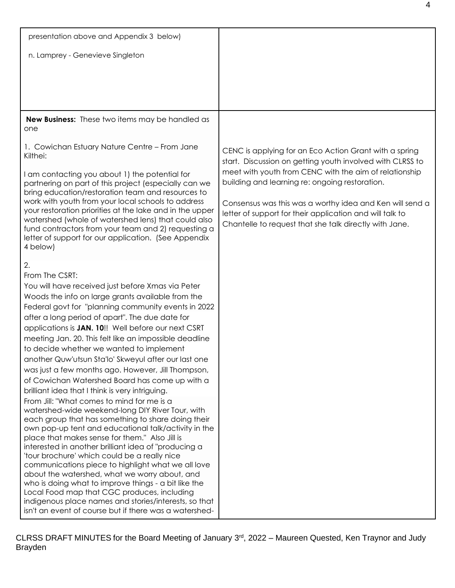| presentation above and Appendix 3 below)                                                                                                                                                                                                                                                                                                                                                                                                                                                                                                                                                                                                                                                                                                                                   |                                                                                                                                                                                |
|----------------------------------------------------------------------------------------------------------------------------------------------------------------------------------------------------------------------------------------------------------------------------------------------------------------------------------------------------------------------------------------------------------------------------------------------------------------------------------------------------------------------------------------------------------------------------------------------------------------------------------------------------------------------------------------------------------------------------------------------------------------------------|--------------------------------------------------------------------------------------------------------------------------------------------------------------------------------|
| n. Lamprey - Genevieve Singleton                                                                                                                                                                                                                                                                                                                                                                                                                                                                                                                                                                                                                                                                                                                                           |                                                                                                                                                                                |
|                                                                                                                                                                                                                                                                                                                                                                                                                                                                                                                                                                                                                                                                                                                                                                            |                                                                                                                                                                                |
|                                                                                                                                                                                                                                                                                                                                                                                                                                                                                                                                                                                                                                                                                                                                                                            |                                                                                                                                                                                |
| New Business: These two items may be handled as<br>one                                                                                                                                                                                                                                                                                                                                                                                                                                                                                                                                                                                                                                                                                                                     |                                                                                                                                                                                |
| 1. Cowichan Estuary Nature Centre - From Jane<br>Kilthei:                                                                                                                                                                                                                                                                                                                                                                                                                                                                                                                                                                                                                                                                                                                  | CENC is applying for an Eco Action Grant with a spring<br>start. Discussion on getting youth involved with CLRSS to                                                            |
| I am contacting you about 1) the potential for<br>partnering on part of this project (especially can we<br>bring education/restoration team and resources to                                                                                                                                                                                                                                                                                                                                                                                                                                                                                                                                                                                                               | meet with youth from CENC with the aim of relationship<br>building and learning re: ongoing restoration.                                                                       |
| work with youth from your local schools to address<br>your restoration priorities at the lake and in the upper<br>watershed (whole of watershed lens) that could also<br>fund contractors from your team and 2) requesting a<br>letter of support for our application. (See Appendix<br>4 below)                                                                                                                                                                                                                                                                                                                                                                                                                                                                           | Consensus was this was a worthy idea and Ken will send a<br>letter of support for their application and will talk to<br>Chantelle to request that she talk directly with Jane. |
| 2.                                                                                                                                                                                                                                                                                                                                                                                                                                                                                                                                                                                                                                                                                                                                                                         |                                                                                                                                                                                |
| From The CSRT:<br>You will have received just before Xmas via Peter<br>Woods the info on large grants available from the<br>Federal govt for "planning community events in 2022<br>after a long period of apart". The due date for<br>applications is JAN. 10!! Well before our next CSRT<br>meeting Jan. 20. This felt like an impossible deadline<br>to decide whether we wanted to implement<br>another Quw'utsun Sta'lo' Skweyul after our last one<br>was just a few months ago. However, Jill Thompson,<br>of Cowichan Watershed Board has come up with a<br>brilliant idea that I think is very intriguing.<br>From Jill: "What comes to mind for me is a<br>watershed-wide weekend-long DIY River Tour, with<br>each group that has something to share doing their |                                                                                                                                                                                |
| own pop-up tent and educational talk/activity in the<br>place that makes sense for them." Also Jill is<br>interested in another brilliant idea of "producing a<br>'tour brochure' which could be a really nice<br>communications piece to highlight what we all love<br>about the watershed, what we worry about, and<br>who is doing what to improve things - a bit like the<br>Local Food map that CGC produces, including<br>indigenous place names and stories/interests, so that<br>isn't an event of course but if there was a watershed-                                                                                                                                                                                                                            |                                                                                                                                                                                |

CLRSS DRAFT MINUTES for the Board Meeting of January 3<sup>rd</sup>, 2022 – Maureen Quested, Ken Traynor and Judy Brayden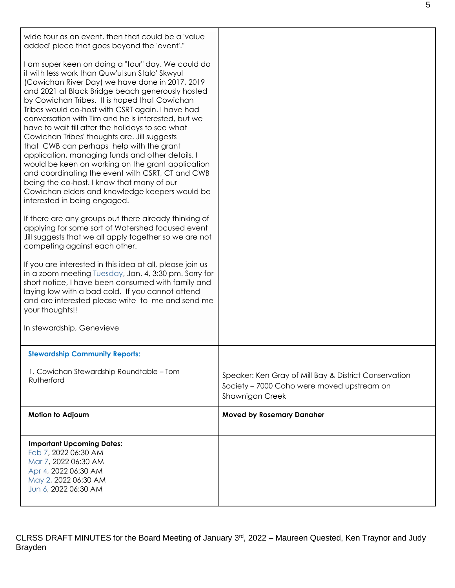| wide tour as an event, then that could be a 'value<br>added' piece that goes beyond the 'event'."                                                                                                                                                                                                                                                                                                                                                                                                                                                                                                                                                                                                                                                                                                                                                                                                                                                                                                                                                                                                                                                                                                                                                                                                                                                                 |                                                                                                                        |
|-------------------------------------------------------------------------------------------------------------------------------------------------------------------------------------------------------------------------------------------------------------------------------------------------------------------------------------------------------------------------------------------------------------------------------------------------------------------------------------------------------------------------------------------------------------------------------------------------------------------------------------------------------------------------------------------------------------------------------------------------------------------------------------------------------------------------------------------------------------------------------------------------------------------------------------------------------------------------------------------------------------------------------------------------------------------------------------------------------------------------------------------------------------------------------------------------------------------------------------------------------------------------------------------------------------------------------------------------------------------|------------------------------------------------------------------------------------------------------------------------|
| I am super keen on doing a "tour" day. We could do<br>it with less work than Quw'utsun Stalo' Skwyul<br>(Cowichan River Day) we have done in 2017, 2019<br>and 2021 at Black Bridge beach generously hosted<br>by Cowichan Tribes. It is hoped that Cowichan<br>Tribes would co-host with CSRT again. I have had<br>conversation with Tim and he is interested, but we<br>have to wait till after the holidays to see what<br>Cowichan Tribes' thoughts are. Jill suggests<br>that CWB can perhaps help with the grant<br>application, managing funds and other details. I<br>would be keen on working on the grant application<br>and coordinating the event with CSRT, CT and CWB<br>being the co-host. I know that many of our<br>Cowichan elders and knowledge keepers would be<br>interested in being engaged.<br>If there are any groups out there already thinking of<br>applying for some sort of Watershed focused event<br>Jill suggests that we all apply together so we are not<br>competing against each other.<br>If you are interested in this idea at all, please join us<br>in a zoom meeting Tuesday, Jan. 4, 3:30 pm. Sorry for<br>short notice, I have been consumed with family and<br>laying low with a bad cold. If you cannot attend<br>and are interested please write to me and send me<br>your thoughts!!<br>In stewardship, Genevieve |                                                                                                                        |
| <b>Stewardship Community Reports:</b>                                                                                                                                                                                                                                                                                                                                                                                                                                                                                                                                                                                                                                                                                                                                                                                                                                                                                                                                                                                                                                                                                                                                                                                                                                                                                                                             |                                                                                                                        |
| 1. Cowichan Stewardship Roundtable - Tom<br>Rutherford                                                                                                                                                                                                                                                                                                                                                                                                                                                                                                                                                                                                                                                                                                                                                                                                                                                                                                                                                                                                                                                                                                                                                                                                                                                                                                            | Speaker: Ken Gray of Mill Bay & District Conservation<br>Society - 7000 Coho were moved upstream on<br>Shawnigan Creek |
| Motion to Adjourn                                                                                                                                                                                                                                                                                                                                                                                                                                                                                                                                                                                                                                                                                                                                                                                                                                                                                                                                                                                                                                                                                                                                                                                                                                                                                                                                                 | <b>Moved by Rosemary Danaher</b>                                                                                       |
| <b>Important Upcoming Dates:</b><br>Feb 7, 2022 06:30 AM<br>Mar 7, 2022 06:30 AM<br>Apr 4, 2022 06:30 AM<br>May 2, 2022 06:30 AM<br>Jun 6, 2022 06:30 AM                                                                                                                                                                                                                                                                                                                                                                                                                                                                                                                                                                                                                                                                                                                                                                                                                                                                                                                                                                                                                                                                                                                                                                                                          |                                                                                                                        |

CLRSS DRAFT MINUTES for the Board Meeting of January 3<sup>rd</sup>, 2022 – Maureen Quested, Ken Traynor and Judy Brayden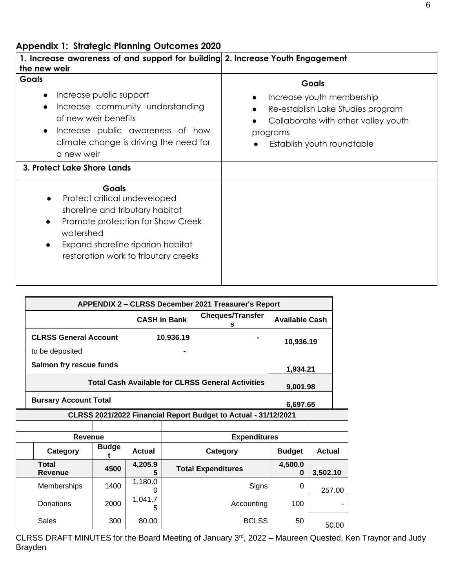| 1. Increase awareness of and support for building 2. Increase Youth Engagement<br>the new weir                                                                                                                                                 |                                                                                                                                                                 |
|------------------------------------------------------------------------------------------------------------------------------------------------------------------------------------------------------------------------------------------------|-----------------------------------------------------------------------------------------------------------------------------------------------------------------|
| <b>Goals</b><br>Increase public support<br>Increase community understanding<br>of new weir benefits<br>Increase public awareness of how<br>climate change is driving the need for<br>a new weir                                                | <b>Goals</b><br>Increase youth membership<br>Re-establish Lake Studies program<br>Collaborate with other valley youth<br>programs<br>Establish youth roundtable |
| 3. Protect Lake Shore Lands                                                                                                                                                                                                                    |                                                                                                                                                                 |
| Goals<br>Protect critical undeveloped<br>$\bullet$<br>shoreline and tributary habitat<br>Promote protection for Shaw Creek<br>$\bullet$<br>watershed<br>Expand shoreline riparian habitat<br>$\bullet$<br>restoration work to tributary creeks |                                                                                                                                                                 |

|                                                                      | <b>APPENDIX 2 - CLRSS December 2021 Treasurer's Report</b>     |              |               |                     |                              |                       |               |  |
|----------------------------------------------------------------------|----------------------------------------------------------------|--------------|---------------|---------------------|------------------------------|-----------------------|---------------|--|
|                                                                      |                                                                |              |               | <b>CASH in Bank</b> | <b>Cheques/Transfer</b><br>s | <b>Available Cash</b> |               |  |
|                                                                      | <b>CLRSS General Account</b>                                   |              |               | 10,936.19           |                              | 10,936.19             |               |  |
|                                                                      | to be deposited                                                |              |               |                     |                              |                       |               |  |
|                                                                      | Salmon fry rescue funds                                        |              |               |                     |                              | 1,934.21              |               |  |
| <b>Total Cash Available for CLRSS General Activities</b><br>9,001.98 |                                                                |              |               |                     |                              |                       |               |  |
|                                                                      | <b>Bursary Account Total</b><br>6.697.65                       |              |               |                     |                              |                       |               |  |
|                                                                      | CLRSS 2021/2022 Financial Report Budget to Actual - 31/12/2021 |              |               |                     |                              |                       |               |  |
|                                                                      |                                                                |              |               |                     |                              |                       |               |  |
|                                                                      |                                                                |              |               |                     |                              |                       |               |  |
|                                                                      | <b>Revenue</b>                                                 |              |               |                     | <b>Expenditures</b>          |                       |               |  |
|                                                                      | Category                                                       | <b>Budge</b> | <b>Actual</b> |                     | Category                     | <b>Budget</b>         | <b>Actual</b> |  |
|                                                                      | <b>Total</b><br><b>Revenue</b>                                 | 4500         | 4,205.9       |                     | <b>Total Expenditures</b>    | 4,500.0<br>0          | 3,502.10      |  |
|                                                                      | Memberships                                                    | 1400         | 1,180.0<br>O  |                     | Signs                        | 0                     | 257.00        |  |
|                                                                      | Donations                                                      | 2000         | 1,041.7<br>5  |                     | Accounting                   | 100                   |               |  |

CLRSS DRAFT MINUTES for the Board Meeting of January 3rd, 2022 – Maureen Quested, Ken Traynor and Judy Brayden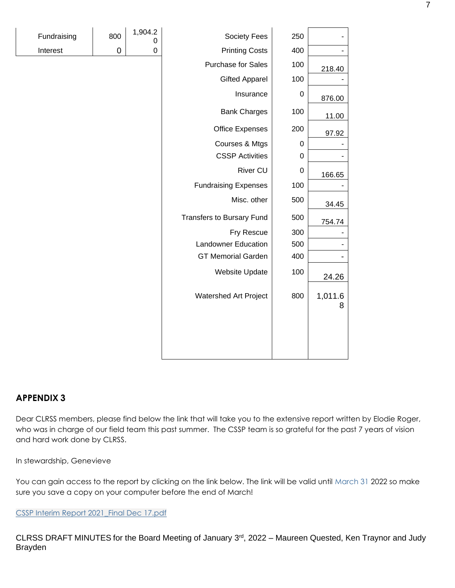| Fundraising | 800 | 1,904.2<br>0 | Society Fees                     | 250              |              |
|-------------|-----|--------------|----------------------------------|------------------|--------------|
| Interest    | 0   | 0            | <b>Printing Costs</b>            | 400              |              |
|             |     |              | Purchase for Sales               | 100              | 218.40       |
|             |     |              | <b>Gifted Apparel</b>            | 100              |              |
|             |     |              | Insurance                        | 0                | 876.00       |
|             |     |              | <b>Bank Charges</b>              | 100              | 11.00        |
|             |     |              | <b>Office Expenses</b>           | 200              | 97.92        |
|             |     |              | Courses & Mtgs                   | $\boldsymbol{0}$ |              |
|             |     |              | <b>CSSP Activities</b>           | 0                |              |
|             |     |              | <b>River CU</b>                  | 0                | 166.65       |
|             |     |              | <b>Fundraising Expenses</b>      | 100              |              |
|             |     |              | Misc. other                      | 500              | 34.45        |
|             |     |              | <b>Transfers to Bursary Fund</b> | 500              | 754.74       |
|             |     |              | Fry Rescue                       | 300              |              |
|             |     |              | <b>Landowner Education</b>       | 500              |              |
|             |     |              | <b>GT Memorial Garden</b>        | 400              |              |
|             |     |              | Website Update                   | 100              | 24.26        |
|             |     |              | Watershed Art Project            | 800              | 1,011.6<br>8 |
|             |     |              |                                  |                  |              |
|             |     |              |                                  |                  |              |

| Fundraising | 800 | 1,904.2 |
|-------------|-----|---------|
| Interest    |     |         |

## **APPENDIX 3**

Dear CLRSS members, please find below the link that will take you to the extensive report written by Elodie Roger, who was in charge of our field team this past summer. The CSSP team is so grateful for the past 7 years of vision and hard work done by CLRSS.

In stewardship, Genevieve

You can gain access to the report by clicking on the link below. The link will be valid until March 31 2022 so make sure you save a copy on your computer before the end of March!

[CSSP Interim Report 2021\\_Final Dec 17.pdf](https://netorgft8809247-my.sharepoint.com/:b:/g/personal/elodie_originsenvironmental_com/Ebv2Xm7Fk3dAkwVtBY-YZ7oBiHOaXbVFKYtYvT2qLgyBoA?e=ydxU4w)

CLRSS DRAFT MINUTES for the Board Meeting of January 3rd, 2022 – Maureen Quested, Ken Traynor and Judy Brayden